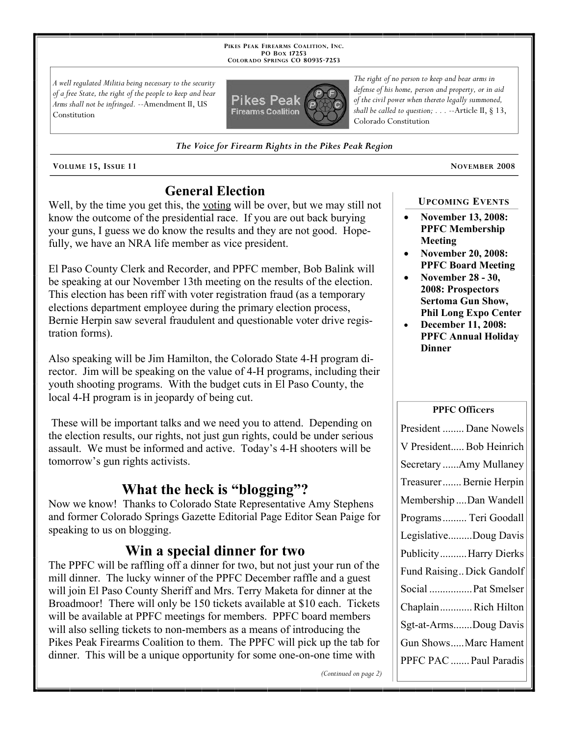**PIKES PEAK FIREARMS COALITION, INC. PO BOX 17253 COLORADO SPRINGS CO 80935 -7253**

*A well regulated Militia being necessary to the security of a free State, the right of the people to keep and bear Arms shall not be infringed.* --Amendment II, US Constitution



*The Voice for Firearm Rights in the Pikes Peak Region*

**VOLUME 15, ISSUE 11 NOVEMBER 2008**

# **General Election**

Well, by the time you get this, the voting will be over, but we may still not know the outcome of the presidential race. If you are out back burying your guns, I guess we do know the results and they are not good. Hopefully, we have an NRA life member as vice president.

El Paso County Clerk and Recorder, and PPFC member, Bob Balink will be speaking at our November 13th meeting on the results of the election. This election has been riff with voter registration fraud (as a temporary elections department employee during the primary election process, Bernie Herpin saw several fraudulent and questionable voter drive registration forms).

Also speaking will be Jim Hamilton, the Colorado State 4-H program director. Jim will be speaking on the value of 4-H programs, including their youth shooting programs. With the budget cuts in El Paso County, the local 4-H program is in jeopardy of being cut.

These will be important talks and we need you to attend. Depending on the election results, our rights, not just gun rights, could be under serious assault. We must be informed and active. Today's 4-H shooters will be tomorrow's gun rights activists.

# **What the heck is "blogging"?**

Now we know! Thanks to Colorado State Representative Amy Stephens and former Colorado Springs Gazette Editorial Page Editor Sean Paige for speaking to us on blogging.

### **Win a special dinner for two**

The PPFC will be raffling off a dinner for two, but not just your run of the mill dinner. The lucky winner of the PPFC December raffle and a guest will join El Paso County Sheriff and Mrs. Terry Maketa for dinner at the Broadmoor! There will only be 150 tickets available at \$10 each. Tickets will be available at PPFC meetings for members. PPFC board members will also selling tickets to non-members as a means of introducing the Pikes Peak Firearms Coalition to them. The PPFC will pick up the tab for dinner. This will be a unique opportunity for some one-on-one time with

*The right of no person to keep and bear arms in defense of his home, person and property, or in aid of the civil power when thereto legally summoned, shall be called to question; . . .* --Article II, § 13, Colorado Constitution

#### **UPCOMING EVENTS**

- **November 13, 2008: PPFC Membership Meeting**
- **November 20, 2008: PPFC Board Meeting**
- **November 28 30, 2008: Prospectors Sertoma Gun Show, Phil Long Expo Center**
- **December 11, 2008: PPFC Annual Holiday Dinner**

#### **PPFC Officers**

| President  Dane Nowels    |
|---------------------------|
| V President Bob Heinrich  |
| Secretary Amy Mullaney    |
| Treasurer Bernie Herpin   |
| Membership Dan Wandell    |
| Programs  Teri Goodall    |
| LegislativeDoug Davis     |
| Publicity Harry Dierks    |
| Fund Raising Dick Gandolf |
| Social  Pat Smelser       |
| ChaplainRich Hilton       |
| Sgt-at-ArmsDoug Davis     |
| Gun ShowsMarc Hament      |
| PPFC PAC  Paul Paradis    |

*(Continued on page 2)*